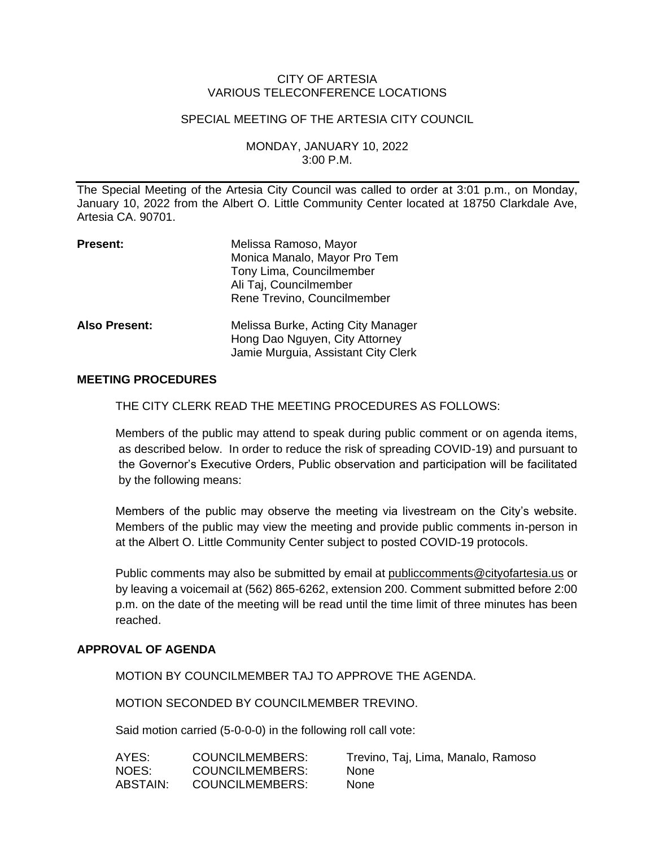## CITY OF ARTESIA VARIOUS TELECONFERENCE LOCATIONS

#### SPECIAL MEETING OF THE ARTESIA CITY COUNCIL

MONDAY, JANUARY 10, 2022 3:00 P.M.

The Special Meeting of the Artesia City Council was called to order at 3:01 p.m., on Monday, January 10, 2022 from the Albert O. Little Community Center located at 18750 Clarkdale Ave, Artesia CA. 90701.

| <b>Present:</b>      | Melissa Ramoso, Mayor<br>Monica Manalo, Mayor Pro Tem<br>Tony Lima, Councilmember<br>Ali Taj, Councilmember<br>Rene Trevino, Councilmember |
|----------------------|--------------------------------------------------------------------------------------------------------------------------------------------|
| <b>Also Present:</b> | Melissa Burke, Acting City Manager<br>Hong Dao Nguyen, City Attorney<br>Jamie Murguia, Assistant City Clerk                                |

## **MEETING PROCEDURES**

THE CITY CLERK READ THE MEETING PROCEDURES AS FOLLOWS:

Members of the public may attend to speak during public comment or on agenda items, as described below. In order to reduce the risk of spreading COVID-19) and pursuant to the Governor's Executive Orders, Public observation and participation will be facilitated by the following means:

Members of the public may observe the meeting via livestream on the City's website. Members of the public may view the meeting and provide public comments in-person in at the Albert O. Little Community Center subject to posted COVID-19 protocols.

Public comments may also be submitted by email at [publiccomments@cityofartesia.us](mailto:publiccomments@cityofartesia.us) or by leaving a voicemail at (562) 865-6262, extension 200. Comment submitted before 2:00 p.m. on the date of the meeting will be read until the time limit of three minutes has been reached.

# **APPROVAL OF AGENDA**

MOTION BY COUNCILMEMBER TAJ TO APPROVE THE AGENDA.

MOTION SECONDED BY COUNCILMEMBER TREVINO.

Said motion carried (5-0-0-0) in the following roll call vote:

| AYES:    | <b>COUNCILMEMBERS:</b> | Trevino, Taj, Lima, Manalo, Ramoso |
|----------|------------------------|------------------------------------|
| NOES:    | COUNCILMEMBERS:        | None.                              |
| ABSTAIN: | COUNCILMEMBERS:        | <b>None</b>                        |